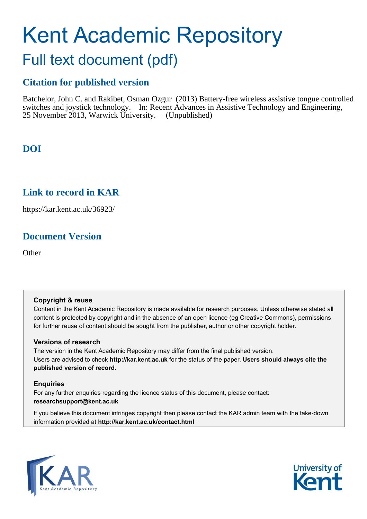# Kent Academic Repository

## Full text document (pdf)

## **Citation for published version**

Batchelor, John C. and Rakibet, Osman Ozgur (2013) Battery-free wireless assistive tongue controlled switches and joystick technology. In: Recent Advances in Assistive Technology and Engineering, 25 November 2013, Warwick University. (Unpublished)

## **DOI**

### **Link to record in KAR**

https://kar.kent.ac.uk/36923/

## **Document Version**

**Other** 

#### **Copyright & reuse**

Content in the Kent Academic Repository is made available for research purposes. Unless otherwise stated all content is protected by copyright and in the absence of an open licence (eg Creative Commons), permissions for further reuse of content should be sought from the publisher, author or other copyright holder.

#### **Versions of research**

The version in the Kent Academic Repository may differ from the final published version. Users are advised to check **http://kar.kent.ac.uk** for the status of the paper. **Users should always cite the published version of record.**

#### **Enquiries**

For any further enquiries regarding the licence status of this document, please contact: **researchsupport@kent.ac.uk**

If you believe this document infringes copyright then please contact the KAR admin team with the take-down information provided at **http://kar.kent.ac.uk/contact.html**



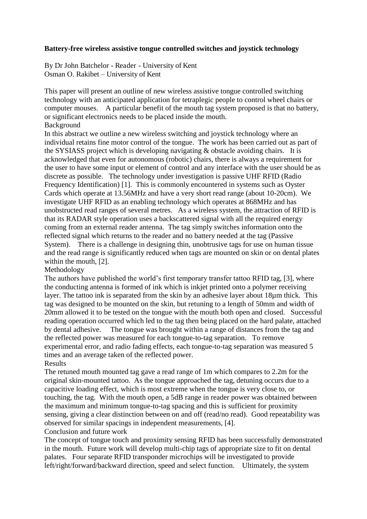#### **Battery-free wireless assistive tongue controlled switches and joystick technology**

By Dr John Batchelor - Reader - University of Kent Osman O. Rakibet – University of Kent

This paper will present an outline of new wireless assistive tongue controlled switching technology with an anticipated application for tetraplegic people to control wheel chairs or computer mouses. A particular benefit of the mouth tag system proposed is that no battery, or significant electronics needs to be placed inside the mouth. Background

In this abstract we outline a new wireless switching and joystick technology where an individual retains fine motor control of the tongue. The work has been carried out as part of the SYSIASS project which is developing navigating & obstacle avoiding chairs. It is acknowledged that even for autonomous (robotic) chairs, there is always a requirement for the user to have some input or element of control and any interface with the user should be as discrete as possible. The technology under investigation is passive UHF RFID (Radio Frequency Identification) [1]. This is commonly encountered in systems such as Oyster Cards which operate at 13.56MHz and have a very short read range (about 10-20cm). We investigate UHF RFID as an enabling technology which operates at 868MHz and has unobstructed read ranges of several metres. As a wireless system, the attraction of RFID is that its RADAR style operation uses a backscattered signal with all the required energy coming from an external reader antenna. The tag simply switches information onto the reflected signal which returns to the reader and no battery needed at the tag (Passive System). There is a challenge in designing thin, unobtrusive tags for use on human tissue and the read range is significantly reduced when tags are mounted on skin or on dental plates within the mouth, [2].

#### Methodology

The authors have published the world's first temporary transfer tattoo RFID tag, [3], where the conducting antenna is formed of ink which is inkjet printed onto a polymer receiving layer. The tattoo ink is separated from the skin by an adhesive layer about 18µm thick. This tag was designed to be mounted on the skin, but retuning to a length of 50mm and width of 20mm allowed it to be tested on the tongue with the mouth both open and closed. Successful reading operation occurred which led to the tag then being placed on the hard palate, attached by dental adhesive. The tongue was brought within a range of distances from the tag and the reflected power was measured for each tongue-to-tag separation. To remove experimental error, and radio fading effects, each tongue-to-tag separation was measured 5 times and an average taken of the reflected power. Results

The retuned mouth mounted tag gave a read range of 1m which compares to 2.2m for the original skin-mounted tattoo. As the tongue approached the tag, detuning occurs due to a capacitive loading effect, which is most extreme when the tongue is very close to, or touching, the tag. With the mouth open, a 5dB range in reader power was obtained between the maximum and minimum tongue-to-tag spacing and this is sufficient for proximity sensing, giving a clear distinction between on and off (read/no read). Good repeatability was observed for similar spacings in independent measurements, [4]. Conclusion and future work

The concept of tongue touch and proximity sensing RFID has been successfully demonstrated in the mouth. Future work will develop multi-chip tags of appropriate size to fit on dental palates. Four separate RFID transponder microchips will be investigated to provide left/right/forward/backward direction, speed and select function. Ultimately, the system